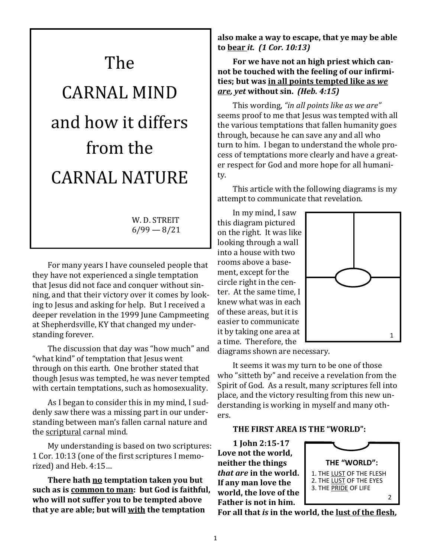# The CARNAL MIND and how it differs from the CARNAL NATURE

W. D. STREIT  $6/99 - 8/21$ 

For many years I have counseled people that they have not experienced a single temptation that Jesus did not face and conquer without sinning, and that their victory over it comes by looking to Jesus and asking for help. But I received a deeper revelation in the 1999 June Campmeeting at Shepherdsville, KY that changed my understanding forever.

The discussion that day was "how much" and "what kind" of temptation that Jesus went through on this earth. One brother stated that though Jesus was tempted, he was never tempted with certain temptations, such as homosexuality.

As I began to consider this in my mind, I suddenly saw there was a missing part in our understanding between man's fallen carnal nature and the scriptural carnal mind.

My understanding is based on two scriptures: 1 Cor. 10:13 (one of the first scriptures I memorized) and Heb. 4:15…

**There hath no temptation taken you but such as is common to man: but God is faithful, who will not suffer you to be tempted above that ye are able; but will with the temptation** 

**also make a way to escape, that ye may be able to bear** *it. (1 Cor. 10:13)*

**For we have not an high priest which cannot be touched with the feeling of our infirmities; but was in all points tempted like as** *we are, yet* **without sin.** *(Heb. 4:15)*

This wording, *"in all points like as we are"*  seems proof to me that Jesus was tempted with all the various temptations that fallen humanity goes through, because he can save any and all who turn to him. I began to understand the whole process of temptations more clearly and have a greater respect for God and more hope for all humanity.

This article with the following diagrams is my attempt to communicate that revelation.

In my mind, I saw this diagram pictured on the right. It was like looking through a wall into a house with two rooms above a basement, except for the circle right in the center. At the same time, I knew what was in each of these areas, but it is easier to communicate it by taking one area at a time. Therefore, the



diagrams shown are necessary.

It seems it was my turn to be one of those who "sitteth by" and receive a revelation from the Spirit of God. As a result, many scriptures fell into place, and the victory resulting from this new understanding is working in myself and many others.

#### **THE FIRST AREA IS THE "WORLD":**

**1 John 2:15-17 Love not the world, neither the things**  *that are* **in the world. If any man love the world, the love of the Father is not in him.** 



**For all that** *is* **in the world, the lust of the flesh,**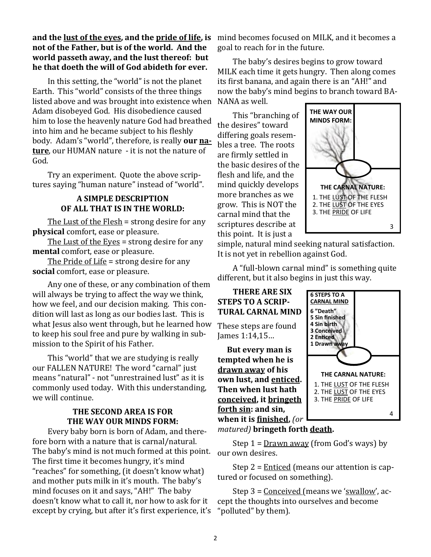## **and the lust of the eyes, and the pride of life, is not of the Father, but is of the world. And the world passeth away, and the lust thereof: but he that doeth the will of God abideth for ever.**

In this setting, the "world" is not the planet Earth. This "world" consists of the three things listed above and was brought into existence when Adam disobeyed God. His disobedience caused him to lose the heavenly nature God had breathed into him and he became subject to his fleshly body. Adam's "world", therefore, is really **our nature**, our HUMAN nature - it is not the nature of God.

Try an experiment. Quote the above scriptures saying "human nature" instead of "world".

## **A SIMPLE DESCRIPTION OF ALL THAT IS IN THE WORLD:**

The Lust of the Flesh = strong desire for any **physical** comfort, ease or pleasure.

The Lust of the Eyes = strong desire for any **mental** comfort, ease or pleasure.

The Pride of Life = strong desire for any **social** comfort, ease or pleasure.

Any one of these, or any combination of them will always be trying to affect the way we think, how we feel, and our decision making. This condition will last as long as our bodies last. This is what Jesus also went through, but he learned how to keep his soul free and pure by walking in submission to the Spirit of his Father.

This "world" that we are studying is really our FALLEN NATURE! The word "carnal" just means "natural" - not "unrestrained lust" as it is commonly used today. With this understanding, we will continue.

## **THE SECOND AREA IS FOR THE WAY OUR MINDS FORM:**

Every baby born is born of Adam, and therefore born with a nature that is carnal/natural. The baby's mind is not much formed at this point. The first time it becomes hungry, it's mind "reaches" for something, (it doesn't know what) and mother puts milk in it's mouth. The baby's mind focuses on it and says, "AH!" The baby doesn't know what to call it, nor how to ask for it except by crying, but after it's first experience, it's mind becomes focused on MILK, and it becomes a goal to reach for in the future.

The baby's desires begins to grow toward MILK each time it gets hungry. Then along comes its first banana, and again there is an "AH!" and now the baby's mind begins to branch toward BA-NANA as well.

This "branching of the desires" toward differing goals resembles a tree. The roots are firmly settled in the basic desires of the flesh and life, and the mind quickly develops more branches as we grow. This is NOT the carnal mind that the scriptures describe at this point. It is just a



simple, natural mind seeking natural satisfaction. It is not yet in rebellion against God.

A "full-blown carnal mind" is something quite different, but it also begins in just this way.

## **THERE ARE SIX STEPS TO A SCRIP-TURAL CARNAL MIND**

These steps are found James 1:14,15…

 **But every man is tempted when he is drawn away of his own lust, and enticed. Then when lust hath conceived, it bringeth forth sin: and sin, when it is finished,** *(or* 



*matured)* **bringeth forth death.**

Step  $1 =$  Drawn away (from God's ways) by our own desires.

Step  $2 =$  Enticed (means our attention is captured or focused on something).

Step 3 = Conceived (means we 'swallow', accept the thoughts into ourselves and become "polluted" by them).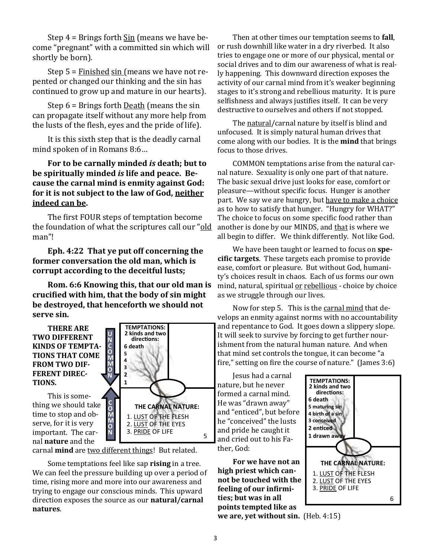Step  $4 =$  Brings forth  $\frac{\sin}{\sin}$  (means we have become "pregnant" with a committed sin which will shortly be born).

Step 5 = Finished sin (means we have not repented or changed our thinking and the sin has continued to grow up and mature in our hearts).

Step 6 = Brings forth Death (means the sin can propagate itself without any more help from the lusts of the flesh, eyes and the pride of life).

It is this sixth step that is the deadly carnal mind spoken of in Romans 8:6…

## **For to be carnally minded** *is* **death; but to be spiritually minded** *is* **life and peace. Because the carnal mind is enmity against God: for it is not subject to the law of God, neither indeed can be.**

The first FOUR steps of temptation become the foundation of what the scriptures call our "old man"!

**Eph. 4:22 That ye put off concerning the former conversation the old man, which is corrupt according to the deceitful lusts;**

**Rom. 6:6 Knowing this, that our old man is crucified with him, that the body of sin might be destroyed, that henceforth we should not serve sin.**

**THERE ARE TWO DIFFERENT KINDS OF TEMPTA-TIONS THAT COME FROM TWO DIF-FERENT DIREC-TIONS.**

This is something we should take time to stop and observe, for it is very important. The carnal **nature** and the



carnal **mind** are two different things! But related.

Some temptations feel like sap **rising** in a tree. We can feel the pressure building up over a period of time, rising more and more into our awareness and trying to engage our conscious minds. This upward direction exposes the source as our **natural/carnal natures**.

Then at other times our temptation seems to **fall**, or rush downhill like water in a dry riverbed. It also tries to engage one or more of our physical, mental or social drives and to dim our awareness of what is really happening. This downward direction exposes the activity of our carnal mind from it's weaker beginning stages to it's strong and rebellious maturity. It is pure selfishness and always justifies itself. It can be very destructive to ourselves and others if not stopped.

The natural/carnal nature by itself is blind and unfocused. It is simply natural human drives that come along with our bodies. It is the **mind** that brings focus to those drives.

COMMON temptations arise from the natural carnal nature. Sexuality is only one part of that nature. The basic sexual drive just looks for ease, comfort or pleasure—without specific focus. Hunger is another part. We say we are hungry, but have to make a choice as to how to satisfy that hunger. "Hungry for WHAT?" The choice to focus on some specific food rather than another is done by our MINDS, and that is where we all begin to differ. We think differently. Not like God.

We have been taught or learned to focus on **specific targets**. These targets each promise to provide ease, comfort or pleasure. But without God, humanity's choices result in chaos. Each of us forms our own mind, natural, spiritual or rebellious - choice by choice as we struggle through our lives.

Now for step 5. This is the carnal mind that develops an enmity against norms with no accountability and repentance to God. It goes down a slippery slope. It will seek to survive by forcing to get further nourishment from the natural human nature. And when that mind set controls the tongue, it can become "a fire," setting on fire the course of nature." (James 3:6)

Jesus had a carnal nature, but he never formed a carnal mind. He was "drawn away" and "enticed", but before he "conceived" the lusts and pride he caught it and cried out to his Father, God:

**For we have not an high priest which cannot be touched with the feeling of our infirmities; but was in all points tempted like as** 



**we are, yet without sin.** (Heb. 4:15)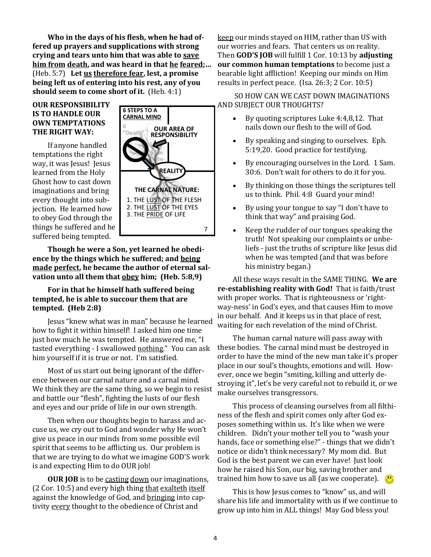**Who in the days of his flesh, when he had offered up prayers and supplications with strong crying and tears unto him that was able to save him from death, and was heard in that he feared;…**  (Heb. 5:7) **Let us therefore fear, lest, a promise being left us of entering into his rest, any of you should seem to come short of it.** (Heb. 4:1)

#### **OUR RESPONSIBILITY IS TO HANDLE OUR OWN TEMPTATIONS THE RIGHT WAY:**

If anyone handled temptations the right way, it was Jesus! Jesus learned from the Holy Ghost how to cast down imaginations and bring every thought into subjection. He learned how to obey God through the things he suffered and he suffered being tempted.



**Though he were a Son, yet learned he obedience by the things which he suffered; and being made perfect, he became the author of eternal salvation unto all them that obey him; (Heb. 5:8,9)**

#### **For in that he himself hath suffered being tempted, he is able to succour them that are tempted. (Heb 2:8)**

Jesus "knew what was in man" because he learned how to fight it within himself! I asked him one time just how much he was tempted. He answered me, "I tasted everything - I swallowed nothing." You can ask him yourself if it is true or not. I'm satisfied.

Most of us start out being ignorant of the difference between our carnal nature and a carnal mind. We think they are the same thing, so we begin to resist and battle our "flesh", fighting the lusts of our flesh and eyes and our pride of life in our own strength.

Then when our thoughts begin to harass and accuse us, we cry out to God and wonder why He won't give us peace in our minds from some possible evil spirit that seems to be afflicting us. Our problem is that we are trying to do what we imagine GOD'S work is and expecting Him to do OUR job!

**OUR JOB** is to be casting down our imaginations, (2 Cor. 10:5) and every high thing that exalteth itself against the knowledge of God, and bringing into captivity every thought to the obedience of Christ and

keep our minds stayed on HIM, rather than US with our worries and fears. That centers us on reality. Then **GOD'S JOB** will fulfill 1 Cor. 10:13 by **adjusting our common human temptations** to become just a bearable light affliction! Keeping our minds on Him results in perfect peace. (Isa. 26:3; 2 Cor. 10:5)

SO HOW CAN WE CAST DOWN IMAGINATIONS AND SUBJECT OUR THOUGHTS?

- By quoting scriptures Luke 4:4,8,12. That nails down our flesh to the will of God.
- By speaking and singing to ourselves. Eph. 5:19,20. Good practice for testifying.
- By encouraging ourselves in the Lord. 1 Sam. 30:6. Don't wait for others to do it for you.
- By thinking on those things the scriptures tell us to think. Phil. 4:8 Guard your mind!
- By using your tongue to say "I don't have to think that way" and praising God.
- Keep the rudder of our tongues speaking the truth! Not speaking our complaints or unbeliefs - just the truths of scripture like Jesus did when he was tempted (and that was before his ministry began.)

All these ways result in the SAME THING. **We are re-establishing reality with God!** That is faith/trust with proper works. That is righteousness or 'rightway-ness' in God's eyes, and that causes Him to move in our behalf. And it keeps us in that place of rest, waiting for each revelation of the mind of Christ.

The human carnal nature will pass away with these bodies. The carnal mind must be destroyed in order to have the mind of the new man take it's proper place in our soul's thoughts, emotions and will. However, once we begin "smiting, killing and utterly destroying it", let's be very careful not to rebuild it, or we make ourselves transgressors.

This process of cleansing ourselves from all filthiness of the flesh and spirit comes only after God exposes something within us. It's like when we were children. Didn't your mother tell you to "wash your hands, face or something else?" - things that we didn't notice or didn't think necessary? My mom did. But God is the best parent we can ever have! Just look how he raised his Son, our big, saving brother and trained him how to save us all (as we cooperate).  $\Box$ 

This is how Jesus comes to "know" us, and will share his life and immortality with us if we continue to grow up into him in ALL things! May God bless you!